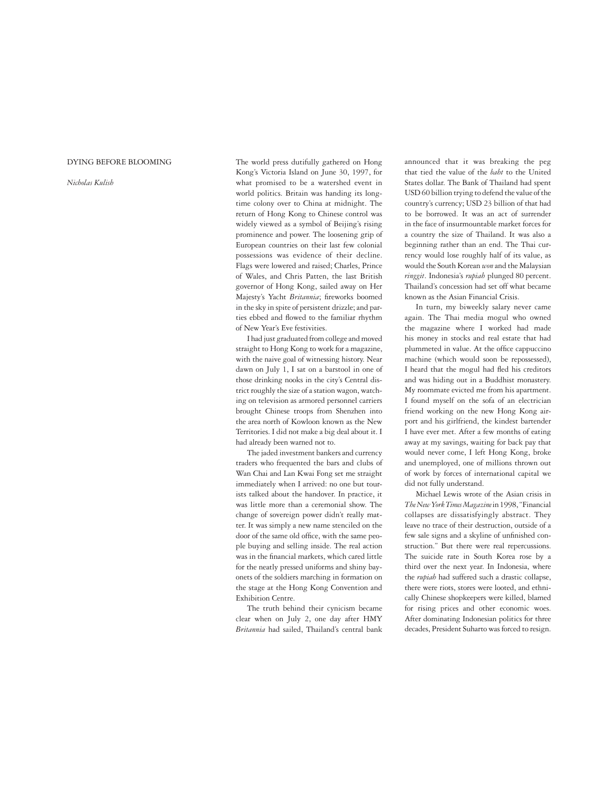## Dying before Blooming

## *Nicholas Kulish*

The world press dutifully gathered on Hong Kong's Victoria Island on June 30, 1997, for what promised to be a watershed event in world politics. Britain was handing its longtime colony over to China at midnight. The return of Hong Kong to Chinese control was widely viewed as a symbol of Beijing's rising prominence and power. The loosening grip of European countries on their last few colonial possessions was evidence of their decline. Flags were lowered and raised; Charles, Prince of Wales, and Chris Patten, the last British governor of Hong Kong, sailed away on Her Majesty's Yacht *Britannia*; fireworks boomed in the sky in spite of persistent drizzle; and parties ebbed and flowed to the familiar rhythm of New Year's Eve festivities.

I had just graduated from college and moved straight to Hong Kong to work for a magazine, with the naive goal of witnessing history. Near dawn on July 1, I sat on a barstool in one of those drinking nooks in the city's Central district roughly the size of a station wagon, watching on television as armored personnel carriers brought Chinese troops from Shenzhen into the area north of Kowloon known as the New Territories. I did not make a big deal about it. I had already been warned not to.

The jaded investment bankers and currency traders who frequented the bars and clubs of Wan Chai and Lan Kwai Fong set me straight immediately when I arrived: no one but tourists talked about the handover. In practice, it was little more than a ceremonial show. The change of sovereign power didn't really matter. It was simply a new name stenciled on the door of the same old office, with the same people buying and selling inside. The real action was in the financial markets, which cared little for the neatly pressed uniforms and shiny bayonets of the soldiers marching in formation on the stage at the Hong Kong Convention and Exhibition Centre.

The truth behind their cynicism became clear when on July 2, one day after HMY *Britannia* had sailed, Thailand's central bank announced that it was breaking the peg that tied the value of the *baht* to the United States dollar. The Bank of Thailand had spent USD 60 billion trying to defend the value of the country's currency; USD 23 billion of that had to be borrowed. It was an act of surrender in the face of insurmountable market forces for a country the size of Thailand. It was also a beginning rather than an end. The Thai currency would lose roughly half of its value, as would the South Korean *won* and the Malaysian *ringgit*. Indonesia's *rupiah* plunged 80 percent. Thailand's concession had set off what became known as the Asian Financial Crisis.

In turn, my biweekly salary never came again. The Thai media mogul who owned the magazine where I worked had made his money in stocks and real estate that had plummeted in value. At the office cappuccino machine (which would soon be repossessed), I heard that the mogul had fled his creditors and was hiding out in a Buddhist monastery. My roommate evicted me from his apartment. I found myself on the sofa of an electrician friend working on the new Hong Kong airport and his girlfriend, the kindest bartender I have ever met. After a few months of eating away at my savings, waiting for back pay that would never come, I left Hong Kong, broke and unemployed, one of millions thrown out of work by forces of international capital we did not fully understand.

Michael Lewis wrote of the Asian crisis in *The New York Times Magazine* in 1998, "Financial collapses are dissatisfyingly abstract. They leave no trace of their destruction, outside of a few sale signs and a skyline of unfinished construction." But there were real repercussions. The suicide rate in South Korea rose by a third over the next year. In Indonesia, where the *rupiah* had suffered such a drastic collapse, there were riots, stores were looted, and ethnically Chinese shopkeepers were killed, blamed for rising prices and other economic woes. After dominating Indonesian politics for three decades, President Suharto was forced to resign.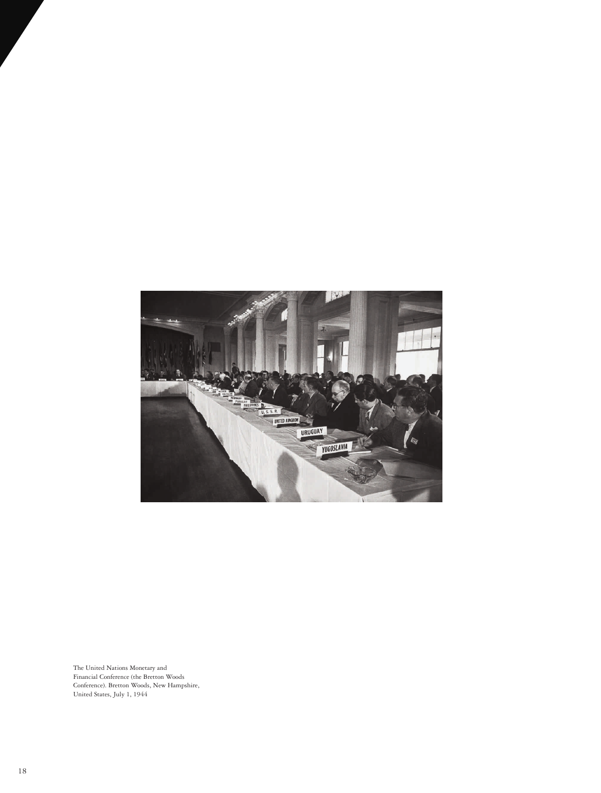

The United Nations Monetary and Financial Conference (the Bretton Woods Conference). Bretton Woods, New Hampshire, United States, July 1, 1944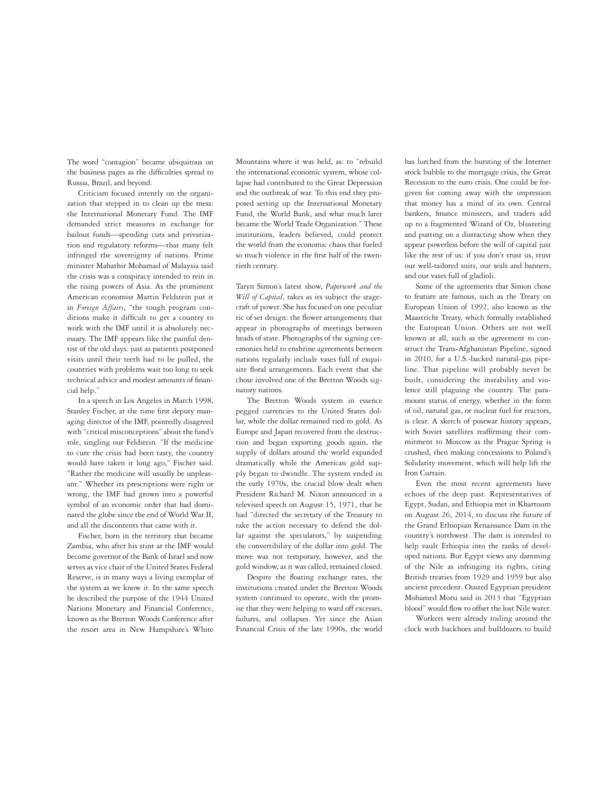The word "contagion" became ubiquitous on the business pages as the difficulties spread to Russia, Brazil, and beyond.

Criticism focused intently on the organization that stepped in to clean up the mess: the International Monetary Fund. The IMF demanded strict measures in exchange for bailout funds—spending cuts and privatization and regulatory reforms—that many felt infringed the sovereignty of nations. Prime minister Mahathir Mohamad of Malaysia said the crisis was a conspiracy intended to rein in the rising powers of Asia. As the prominent American economist Martin Feldstein put it in *Foreign Affairs*, "the tough program conditions make it difficult to get a country to work with the IMF until it is absolutely necessary. The IMF appears like the painful dentist of the old days: just as patients postponed visits until their teeth had to be pulled, the countries with problems wait too long to seek technical advice and modest amounts of financial help."

In a speech in Los Angeles in March 1998, Stanley Fischer, at the time first deputy managing director of the IMF, pointedly disagreed with "critical misconceptions" about the fund's role, singling out Feldstein. "If the medicine to cure the crisis had been tasty, the country would have taken it long ago," Fischer said. "Rather the medicine will usually be unpleasant." Whether its prescriptions were right or wrong, the IMF had grown into a powerful symbol of an economic order that had dominated the globe since the end of World War II, and all the discontents that came with it.

Fischer, born in the territory that became Zambia, who after his stint at the IMF would become governor of the Bank of Israel and now serves as vice chair of the United States Federal Reserve, is in many ways a living exemplar of the system as we know it. In the same speech he described the purpose of the 1944 United Nations Monetary and Financial Conference, known as the Bretton Woods Conference after the resort area in New Hampshire's White

Mountains where it was held, as: to "rebuild the international economic system, whose collapse had contributed to the Great Depression and the outbreak of war. To this end they proposed setting up the International Monetary Fund, the World Bank, and what much later became the World Trade Organization." These institutions, leaders believed, could protect the world from the economic chaos that fueled so much violence in the first half of the twentieth century.

Taryn Simon's latest show, *Paperwork and the Will of Capital*, takes as its subject the stagecraft of power. She has focused on one peculiar tic of set design: the flower arrangements that appear in photographs of meetings between heads of state. Photographs of the signing ceremonies held to enshrine agreements between nations regularly include vases full of exquisite floral arrangements. Each event that she chose involved one of the Bretton Woods signatory nations.

The Bretton Woods system in essence pegged currencies to the United States dollar, while the dollar remained tied to gold. As Europe and Japan recovered from the destruction and began exporting goods again, the supply of dollars around the world expanded dramatically while the American gold supply began to dwindle. The system ended in the early 1970s, the crucial blow dealt when President Richard M. Nixon announced in a televised speech on August 15, 1971, that he had "directed the secretary of the Treasury to take the action necessary to defend the dollar against the speculators," by suspending the convertibility of the dollar into gold. The move was not temporary, however, and the gold window, as it was called, remained closed.

Despite the floating exchange rates, the institutions created under the Bretton Woods system continued to operate, with the promise that they were helping to ward off excesses, failures, and collapses. Yet since the Asian Financial Crisis of the late 1990s, the world

has lurched from the bursting of the Internet stock bubble to the mortgage crisis, the Great Recession to the euro crisis. One could be forgiven for coming away with the impression that money has a mind of its own. Central bankers, finance ministers, and traders add up to a fragmented Wizard of Oz, blustering and putting on a distracting show when they appear powerless before the will of capital just like the rest of us: if you don't trust us, trust our well-tailored suits, our seals and banners, and our vases full of gladioli.

Some of the agreements that Simon chose to feature are famous, such as the Treaty on European Union of 1992, also known as the Maastricht Treaty, which formally established the European Union. Others are not well known at all, such as the agreement to construct the Trans-Afghanistan Pipeline, signed in 2010, for a U.S.-backed natural-gas pipeline. That pipeline will probably never be built, considering the instability and violence still plaguing the country. The paramount status of energy, whether in the form of oil, natural gas, or nuclear fuel for reactors, is clear. A sketch of postwar history appears, with Soviet satellites reaffirming their commitment to Moscow as the Prague Spring is crushed, then making concessions to Poland's Solidarity movement, which will help lift the Iron Curtain.

Even the most recent agreements have echoes of the deep past. Representatives of Egypt, Sudan, and Ethiopia met in Khartoum on August 26, 2014, to discuss the future of the Grand Ethiopian Renaissance Dam in the country's northwest. The dam is intended to help vault Ethiopia into the ranks of developed nations. But Egypt views any damming of the Nile as infringing its rights, citing British treaties from 1929 and 1959 but also ancient precedent. Ousted Egyptian president Mohamed Morsi said in 2013 that "Egyptian blood" would flow to offset the lost Nile water.

Workers were already toiling around the clock with backhoes and bulldozers to build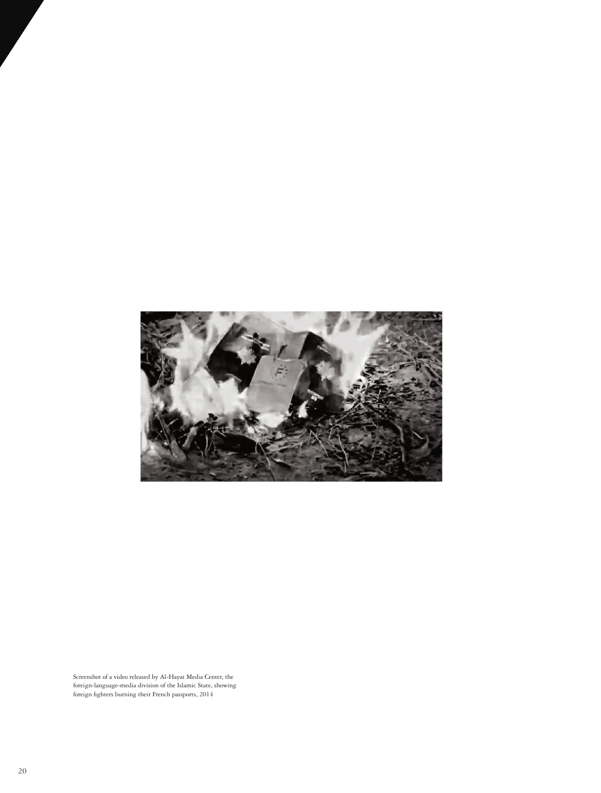

Screenshot of a video released by Al-Hayat Media Center, the foreign-language-media division of the Islamic State, showing foreign fighters burning their French passports, 2014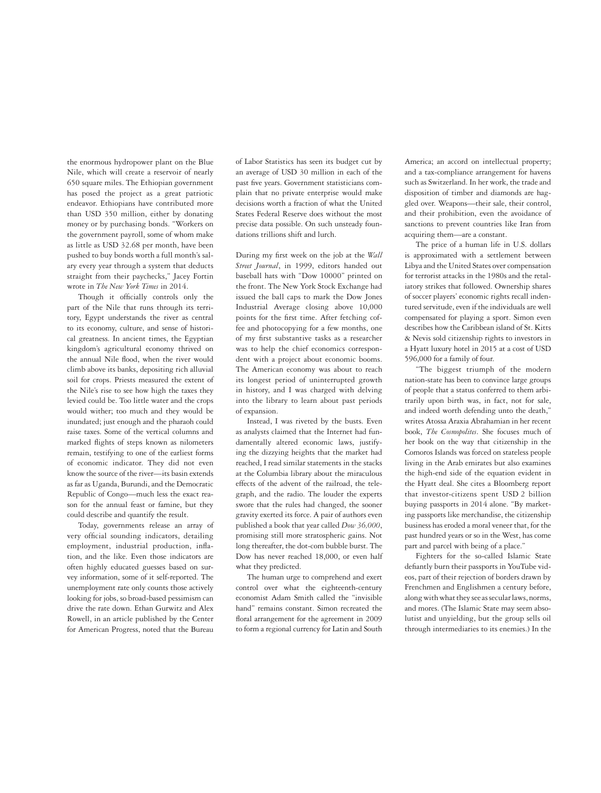the enormous hydropower plant on the Blue Nile, which will create a reservoir of nearly 650 square miles. The Ethiopian government has posed the project as a great patriotic endeavor. Ethiopians have contributed more than USD 350 million, either by donating money or by purchasing bonds. "Workers on the government payroll, some of whom make as little as USD 32.68 per month, have been pushed to buy bonds worth a full month's salary every year through a system that deducts straight from their paychecks," Jacey Fortin wrote in *The New York Times* in 2014.

Though it officially controls only the part of the Nile that runs through its territory, Egypt understands the river as central to its economy, culture, and sense of historical greatness. In ancient times, the Egyptian kingdom's agricultural economy thrived on the annual Nile flood, when the river would climb above its banks, depositing rich alluvial soil for crops. Priests measured the extent of the Nile's rise to see how high the taxes they levied could be. Too little water and the crops would wither; too much and they would be inundated; just enough and the pharaoh could raise taxes. Some of the vertical columns and marked flights of steps known as nilometers remain, testifying to one of the earliest forms of economic indicator. They did not even know the source of the river—its basin extends as far as Uganda, Burundi, and the Democratic Republic of Congo—much less the exact reason for the annual feast or famine, but they could describe and quantify the result.

Today, governments release an array of very official sounding indicators, detailing employment, industrial production, inflation, and the like. Even those indicators are often highly educated guesses based on survey information, some of it self-reported. The unemployment rate only counts those actively looking for jobs, so broad-based pessimism can drive the rate down. Ethan Gurwitz and Alex Rowell, in an article published by the Center for American Progress, noted that the Bureau

of Labor Statistics has seen its budget cut by an average of USD 30 million in each of the past five years. Government statisticians complain that no private enterprise would make decisions worth a fraction of what the United States Federal Reserve does without the most precise data possible. On such unsteady foundations trillions shift and lurch.

During my first week on the job at the *Wall Street Journal*, in 1999, editors handed out baseball hats with "Dow 10000" printed on the front. The New York Stock Exchange had issued the ball caps to mark the Dow Jones Industrial Average closing above 10,000 points for the first time. After fetching coffee and photocopying for a few months, one of my first substantive tasks as a researcher was to help the chief economics correspondent with a project about economic booms. The American economy was about to reach its longest period of uninterrupted growth in history, and I was charged with delving into the library to learn about past periods of expansion.

Instead, I was riveted by the busts. Even as analysts claimed that the Internet had fundamentally altered economic laws, justifying the dizzying heights that the market had reached, I read similar statements in the stacks at the Columbia library about the miraculous effects of the advent of the railroad, the telegraph, and the radio. The louder the experts swore that the rules had changed, the sooner gravity exerted its force. A pair of authors even published a book that year called *Dow 36,000*, promising still more stratospheric gains. Not long thereafter, the dot-com bubble burst. The Dow has never reached 18,000, or even half what they predicted.

The human urge to comprehend and exert control over what the eighteenth-century economist Adam Smith called the "invisible hand" remains constant. Simon recreated the floral arrangement for the agreement in 2009 to form a regional currency for Latin and South America; an accord on intellectual property; and a tax-compliance arrangement for havens such as Switzerland. In her work, the trade and disposition of timber and diamonds are haggled over. Weapons—their sale, their control, and their prohibition, even the avoidance of sanctions to prevent countries like Iran from acquiring them—are a constant.

The price of a human life in U.S. dollars is approximated with a settlement between Libya and the United States over compensation for terrorist attacks in the 1980s and the retaliatory strikes that followed. Ownership shares of soccer players' economic rights recall indentured servitude, even if the individuals are well compensated for playing a sport. Simon even describes how the Caribbean island of St. Kitts & Nevis sold citizenship rights to investors in a Hyatt luxury hotel in 2015 at a cost of USD 596,000 for a family of four.

"The biggest triumph of the modern nation-state has been to convince large groups of people that a status conferred to them arbitrarily upon birth was, in fact, not for sale, and indeed worth defending unto the death," writes Atossa Araxia Abrahamian in her recent book, *The Cosmopolites*. She focuses much of her book on the way that citizenship in the Comoros Islands was forced on stateless people living in the Arab emirates but also examines the high-end side of the equation evident in the Hyatt deal. She cites a Bloomberg report that investor-citizens spent USD 2 billion buying passports in 2014 alone. "By marketing passports like merchandise, the citizenship business has eroded a moral veneer that, for the past hundred years or so in the West, has come part and parcel with being of a place."

Fighters for the so-called Islamic State defiantly burn their passports in YouTube videos, part of their rejection of borders drawn by Frenchmen and Englishmen a century before, along with what they see as secular laws, norms, and mores. (The Islamic State may seem absolutist and unyielding, but the group sells oil through intermediaries to its enemies.) In the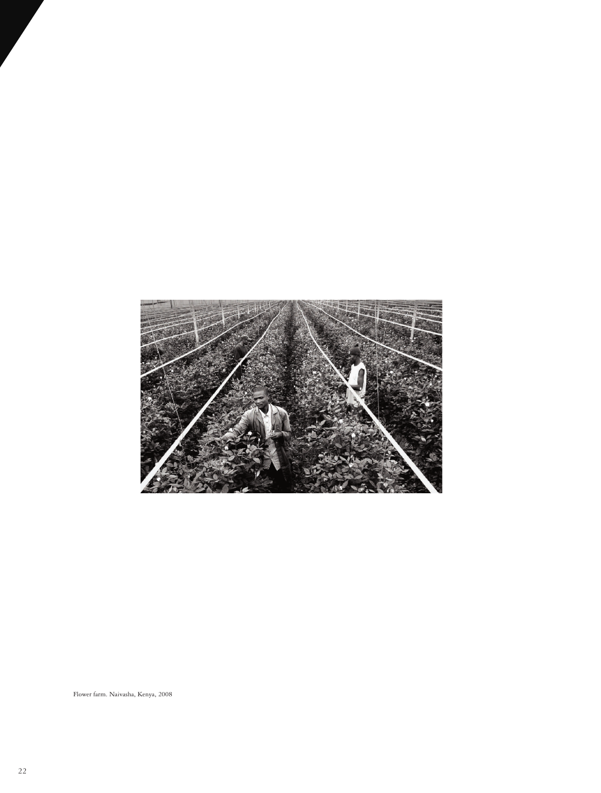

Flower farm. Naivasha, Kenya, 2008